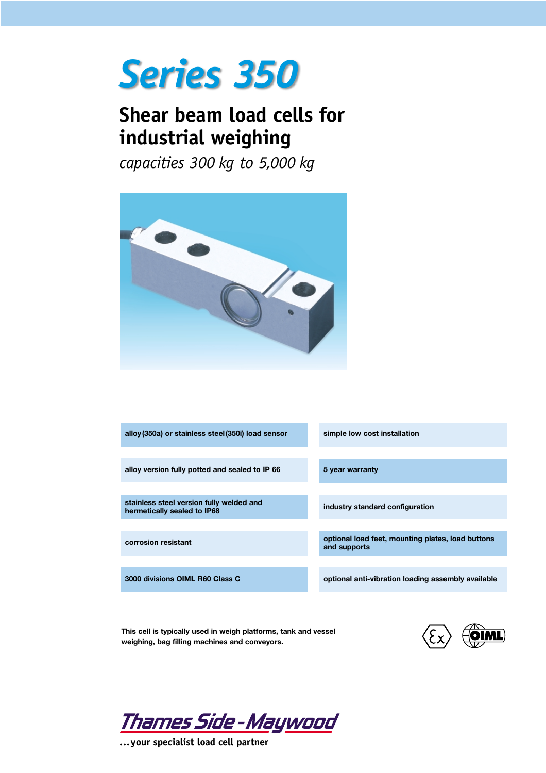## *Series 350*

## **Shear beam load cells for industrial weighing**

*capacities 300 kg to 5,000 kg*



| alloy (350a) or stainless steel (350i) load sensor                      | simple low cost installation                                      |  |
|-------------------------------------------------------------------------|-------------------------------------------------------------------|--|
|                                                                         |                                                                   |  |
| alloy version fully potted and sealed to IP 66                          | 5 year warranty                                                   |  |
|                                                                         |                                                                   |  |
| stainless steel version fully welded and<br>hermetically sealed to IP68 | industry standard configuration                                   |  |
|                                                                         |                                                                   |  |
| corrosion resistant                                                     | optional load feet, mounting plates, load buttons<br>and supports |  |
|                                                                         |                                                                   |  |
| 3000 divisions OIML R60 Class C                                         | optional anti-vibration loading assembly available                |  |
|                                                                         |                                                                   |  |

**This cell is typically used in weigh platforms, tank and vessel weighing, bag filling machines and conveyors.**



<u> Thames Side-Maywood</u>

**...your specialist load cell partner**